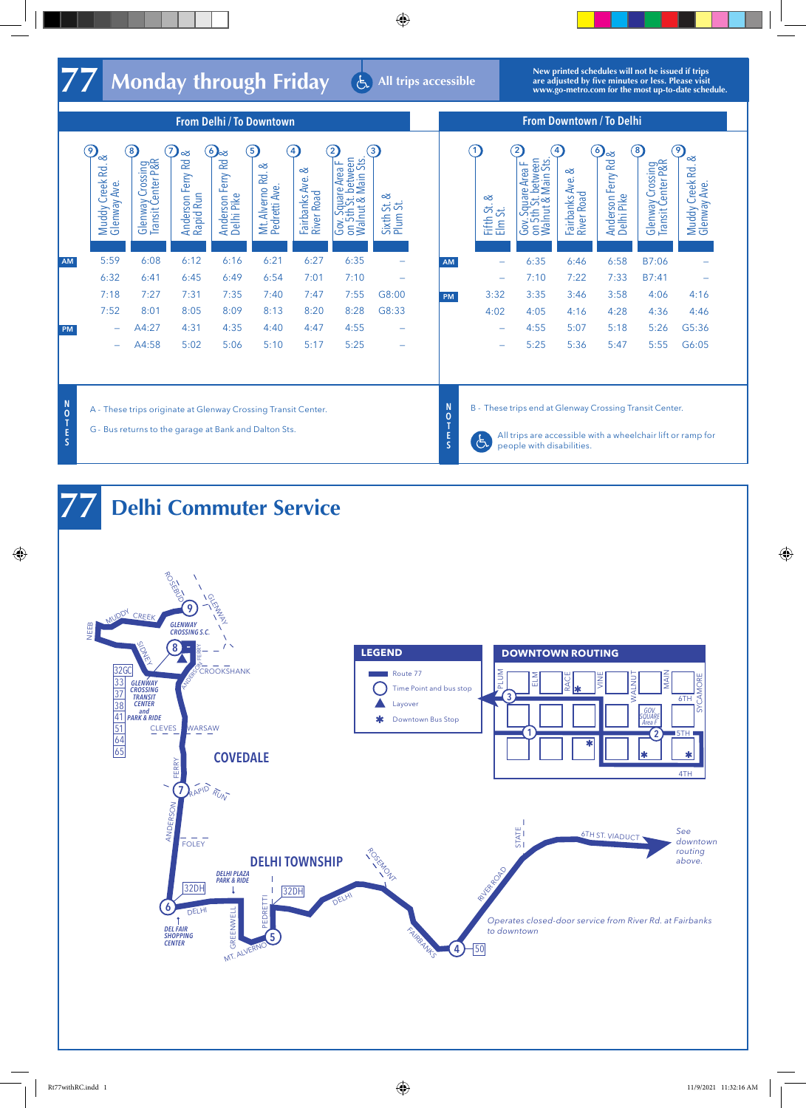